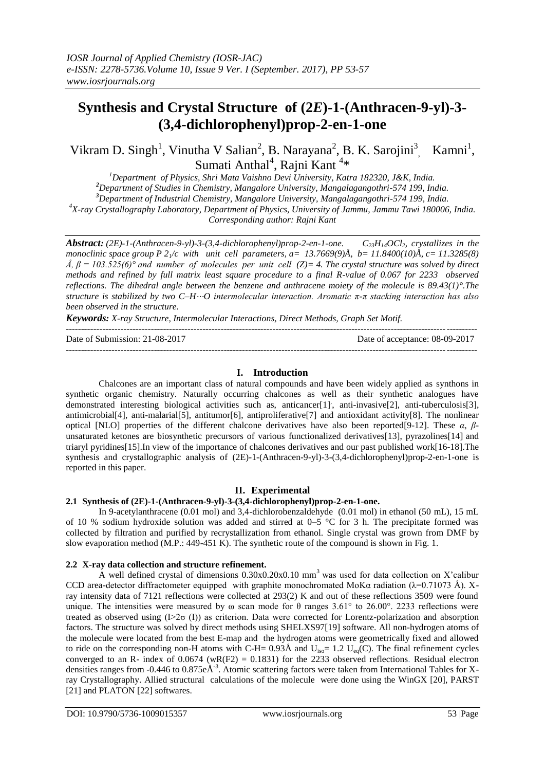# **Synthesis and Crystal Structure of (2***E***)-1-(Anthracen-9-yl)-3- (3,4-dichlorophenyl)prop-2-en-1-one**

Vikram D. Singh<sup>1</sup>, Vinutha V Salian<sup>2</sup>, B. Narayana<sup>2</sup>, B. K. Sarojini<sup>3</sup>  $,$  Kamni<sup>1</sup>, Sumati Anthal<sup>4</sup>, Rajni Kant<sup>4</sup>\*

*Department of Physics, Shri Mata Vaishno Devi University, Katra 182320, J&K, India. Department of Studies in Chemistry, Mangalore University, Mangalagangothri-574 199, India. Department of Industrial Chemistry, Mangalore University, Mangalagangothri-574 199, India. X-ray Crystallography Laboratory, Department of Physics, University of Jammu, Jammu Tawi 180006, India. Corresponding author: Rajni Kant*

*Abstract: (2E)-1-(Anthracen-9-yl)-3-(3,4-dichlorophenyl)prop-2-en-1-one. C23H14OCl2, crystallizes in the monoclinic space group P 2*<sup>*1*</sup>*/c with unit cell parameters, a* = 13.7669(9) $\AA$ , *b* = 11.8400(10) $\AA$ , *c* = 11.3285(8) *Å, β = 103.525(6)° and number of molecules per unit cell (Z)= 4. The crystal structure was solved by direct methods and refined by full matrix least square procedure to a final R-value of 0.067 for 2233 observed reflections. The dihedral angle between the benzene and anthracene moiety of the molecule is 89.43(1)°.The structure is stabilized by two C–H*⋅⋅⋅*O intermolecular interaction. Aromatic π-π stacking interaction has also been observed in the structure.*

*Keywords: X-ray Structure, Intermolecular Interactions, Direct Methods, Graph Set Motif.*

| Date of Submission: 21-08-2017 | Date of acceptance: 08-09-2017 |
|--------------------------------|--------------------------------|
|                                |                                |

### **I. Introduction**

Chalcones are an important class of natural compounds and have been widely applied as synthons in synthetic organic chemistry. Naturally occurring chalcones as well as their synthetic analogues have demonstrated interesting biological activities such as, anticancer[1]', anti-invasive[2], anti-tuberculosis[3], antimicrobial[4], anti-malarial[5], antitumor[6], antiproliferative[7] and antioxidant activity[8]. The nonlinear optical [NLO] properties of the different chalcone derivatives have also been reported[9-12]. These *α*, *β*unsaturated ketones are biosynthetic precursors of various functionalized derivatives[13], pyrazolines[14] and triaryl pyridines[15].In view of the importance of chalcones derivatives and our past published work[16-18].The synthesis and crystallographic analysis of (2E)-1-(Anthracen-9-yl)-3-(3,4-dichlorophenyl)prop-2-en-1-one is reported in this paper.

## **II. Experimental**

## **2.1 Synthesis of (2E)-1-(Anthracen-9-yl)-3-(3,4-dichlorophenyl)prop-2-en-1-one.**

In 9-acetylanthracene (0.01 mol) and 3,4-dichlorobenzaldehyde (0.01 mol) in ethanol (50 mL), 15 mL of 10 % sodium hydroxide solution was added and stirred at 0–5  $\degree$ C for 3 h. The precipitate formed was collected by filtration and purified by recrystallization from ethanol. Single crystal was grown from DMF by slow evaporation method (M.P.: 449-451 K). The synthetic route of the compound is shown in Fig. 1.

## **2.2 X-ray data collection and structure refinement.**

A well defined crystal of dimensions  $0.30x0.20x0.10$  mm<sup>3</sup> was used for data collection on X'calibur CCD area-detector diffractometer equipped with graphite monochromated MoK $\alpha$  radiation ( $\lambda$ =0.71073 Å). Xray intensity data of 7121 reflections were collected at 293(2) K and out of these reflections 3509 were found unique. The intensities were measured by  $\omega$  scan mode for  $\theta$  ranges 3.61° to 26.00°. 2233 reflections were treated as observed using  $(I>2\sigma(I))$  as criterion. Data were corrected for Lorentz-polarization and absorption factors. The structure was solved by direct methods using SHELXS97[19] software. All non-hydrogen atoms of the molecule were located from the best E-map and the hydrogen atoms were geometrically fixed and allowed to ride on the corresponding non-H atoms with C-H=  $0.93\text{\AA}$  and  $U_{\text{iso}}$ = 1.2  $U_{\text{eq}}(C)$ . The final refinement cycles converged to an R- index of 0.0674 (wR(F2) = 0.1831) for the 2233 observed reflections. Residual electron densities ranges from -0.446 to 0.875eÅ<sup>-3</sup>. Atomic scattering factors were taken from International Tables for Xray Crystallography. Allied structural calculations of the molecule were done using the WinGX [20], PARST [21] and PLATON [22] softwares.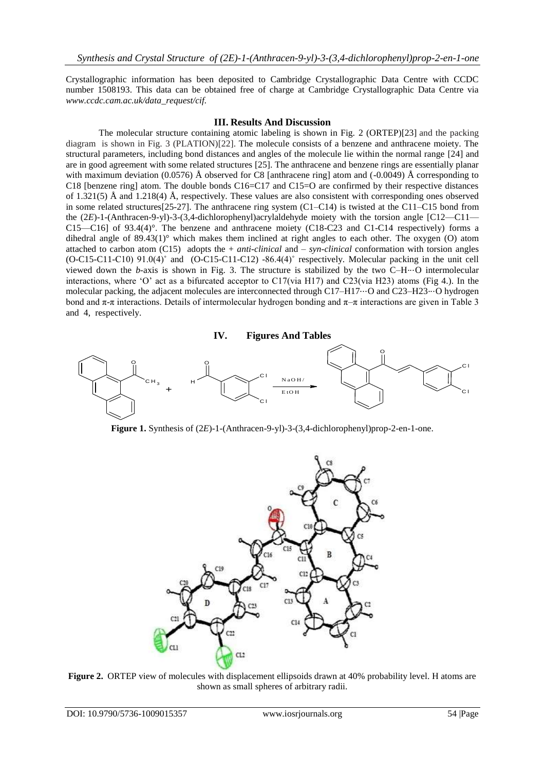Crystallographic information has been deposited to Cambridge Crystallographic Data Centre with CCDC number 1508193. This data can be obtained free of charge at Cambridge Crystallographic Data Centre via *www.ccdc.cam.ac.uk/data\_request/cif.*

### **III. Results And Discussion**

The molecular structure containing atomic labeling is shown in Fig. 2 (ORTEP)[23] and the packing diagram is shown in Fig. 3 (PLATION)[22]. The molecule consists of a benzene and anthracene moiety. The structural parameters, including bond distances and angles of the molecule lie within the normal range [24] and are in good agreement with some related structures [25]. The anthracene and benzene rings are essentially planar with maximum deviation (0.0576) Å observed for C8 [anthracene ring] atom and (-0.0049) Å corresponding to C18 [benzene ring] atom. The double bonds C16=C17 and C15=O are confirmed by their respective distances of 1.321(5) Å and 1.218(4) Å, respectively. These values are also consistent with corresponding ones observed in some related structures[25-27]. The anthracene ring system (C1–C14) is twisted at the C11–C15 bond from the (2*E*)-1-(Anthracen-9-yl)-3-(3,4-dichlorophenyl)acrylaldehyde moiety with the torsion angle [C12—C11— C15—C16] of 93.4(4)°. The benzene and anthracene moiety (C18-C23 and C1-C14 respectively) forms a dihedral angle of 89.43(1)° which makes them inclined at right angles to each other. The oxygen (O) atom attached to carbon atom (C15) adopts the + *anti-clinical* and – *syn-clinical* conformation with torsion angles (O-C15-C11-C10) 91.0(4)˚ and (O-C15-C11-C12) -86.4(4)˚ respectively. Molecular packing in the unit cell viewed down the *b*-axis is shown in Fig. 3. The structure is stabilized by the two C–H⋅⋅⋅O intermolecular interactions, where  $\degree$ O' act as a bifurcated acceptor to C17(via H17) and C23(via H23) atoms (Fig 4.). In the molecular packing, the adjacent molecules are interconnected through C17–H17⋅⋅⋅O and C23–H23⋅⋅⋅O hydrogen bond and  $\pi$ -π interactions. Details of intermolecular hydrogen bonding and  $\pi$ -π interactions are given in Table 3 and 4, respectively.

### **IV. Figures And Tables**



**Figure 1.** Synthesis of (2*E*)-1-(Anthracen-9-yl)-3-(3,4-dichlorophenyl)prop-2-en-1-one.



Figure 2. ORTEP view of molecules with displacement ellipsoids drawn at 40% probability level. H atoms are shown as small spheres of arbitrary radii.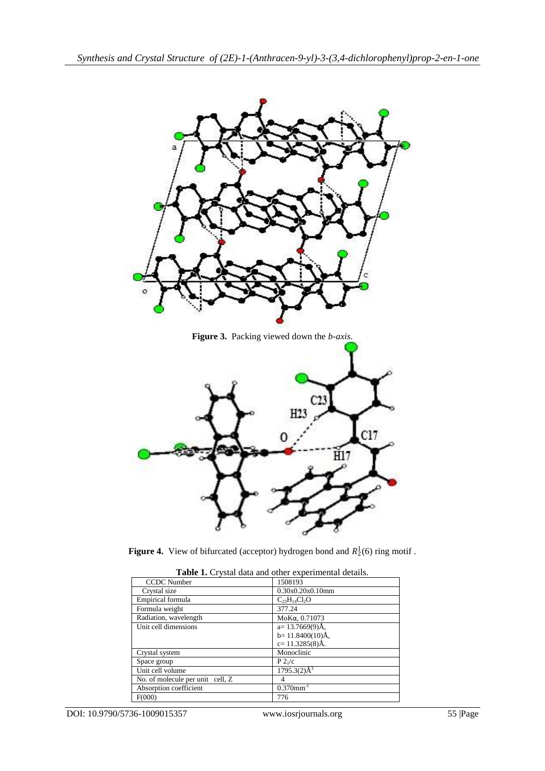

**Figure 3.** Packing viewed down the *b-axis*.



**Figure 4.** View of bifurcated (acceptor) hydrogen bond and  $R_2^1(6)$  ring motif.

| <b>CCDC</b> Number               | 1508193                    |  |  |  |
|----------------------------------|----------------------------|--|--|--|
| Crystal size                     | 0.30x0.20x0.10mm           |  |  |  |
| Empirical formula                | $C_{23}H_{14}Cl_2O$        |  |  |  |
| Formula weight                   | 377.24                     |  |  |  |
| Radiation, wavelength            | ΜοΚα, 0.71073              |  |  |  |
| Unit cell dimensions             | $a=13.7669(9)$ Å,          |  |  |  |
|                                  | $b=11.8400(10)$ Å,         |  |  |  |
|                                  | $c=11.3285(8)$ Å.          |  |  |  |
| Crystal system                   | Monoclinic                 |  |  |  |
| Space group                      | P2 <sub>1</sub> /c         |  |  |  |
| Unit cell volume                 | $1795.3(2)$ Å <sup>3</sup> |  |  |  |
| No. of molecule per unit cell, Z | 4                          |  |  |  |
| Absorption coefficient           | $0.370$ mm <sup>-1</sup>   |  |  |  |
| F(000)                           | 776                        |  |  |  |

**Table 1.** Crystal data and other experimental details.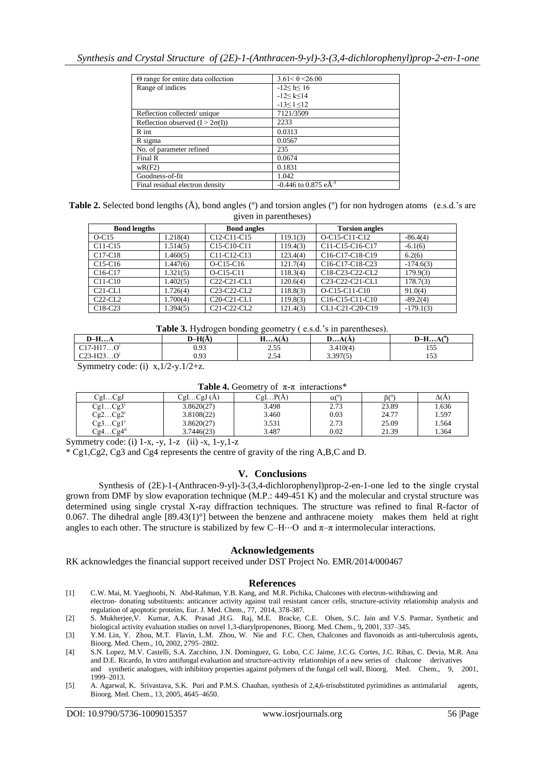| $\Theta$ range for entire data collection | $3.61 < \theta < 26.00$            |
|-------------------------------------------|------------------------------------|
| Range of indices                          | $-12 < h < 16$                     |
|                                           | $-12 < k < 14$                     |
|                                           | $-13 \le l \le 12$                 |
| Reflection collected/unique               | 7121/3509                          |
| Reflection observed $(I > 2\sigma(I))$    | 2233                               |
| R int                                     | 0.0313                             |
| R sigma                                   | 0.0567                             |
| No. of parameter refined                  | 235                                |
| Final R                                   | 0.0674                             |
| wR(F2)                                    | 0.1831                             |
| Goodness-of-fit                           | 1.042                              |
| Final residual electron density           | $-0.446$ to 0.875 eÅ <sup>-3</sup> |

**Table 2.** Selected bond lengths ( $\hat{A}$ ), bond angles ( $\degree$ ) and torsion angles ( $\degree$ ) for non hydrogen atoms (e.s.d.'s are given in parentheses)

| <b>Bond lengths</b>              |          | <b>Bond angles</b>                                           |          | <b>Torsion angles</b>                                              |             |
|----------------------------------|----------|--------------------------------------------------------------|----------|--------------------------------------------------------------------|-------------|
| $O-C15$                          | 1.218(4) | C <sub>12</sub> -C <sub>11</sub> -C <sub>15</sub>            | 119.1(3) | O-C15-C11-C12                                                      | $-86.4(4)$  |
| $C11-C15$                        | 1.514(5) | C <sub>15</sub> -C <sub>10</sub> -C <sub>11</sub>            | 119.4(3) | C11-C15-C16-C17                                                    | $-6.1(6)$   |
| C <sub>17</sub> -C <sub>18</sub> | 1.460(5) | C11-C12-C13                                                  | 123.4(4) | C <sub>16</sub> -C <sub>17</sub> -C <sub>18</sub> -C <sub>19</sub> | 6.2(6)      |
| $C15-C16$                        | 1.447(6) | $O-C15-C16$                                                  | 121.7(4) | C <sub>16</sub> -C <sub>17</sub> -C <sub>18</sub> -C <sub>23</sub> | $-174.6(3)$ |
| $C16-C17$                        | 1.321(5) | O-C15-C11                                                    | 118.3(4) | C18-C23-C22-CL2                                                    | 179.9(3)    |
| $C11-C10$                        | 1.402(5) | $C22-C21-CL1$                                                | 120.6(4) | C <sub>23</sub> -C <sub>22</sub> -C <sub>21</sub> -C <sub>L1</sub> | 178.7(3)    |
| $C21-CL1$                        | 1.726(4) | C <sub>23</sub> -C <sub>22</sub> -C <sub>L<sub>2</sub></sub> | 118.8(3) | $O-C15-C11-C10$                                                    | 91.0(4)     |
| $C22-CL2$                        | 1.700(4) | C <sub>20</sub> -C <sub>21</sub> -C <sub>L1</sub>            | 119.8(3) | C <sub>16</sub> -C <sub>15</sub> -C <sub>11</sub> -C <sub>10</sub> | $-89.2(4)$  |
| $C18-C23$                        | 1.394(5) | C <sub>21</sub> -C <sub>22</sub> -C <sub>L<sub>2</sub></sub> | 121.4(3) | CL1-C21-C20-C19                                                    | $-179.1(3)$ |

**Table 3.** Hydrogen bonding geometry ( e.s.d.'s in parentheses).

| $D-HA$                  | $D-H(A)$ | ັ<br>$\mathbf{v}$<br>$H_{\bullet\bullet\bullet}A(A)$ | DA(A)           | (0)<br>$D-HA($  |
|-------------------------|----------|------------------------------------------------------|-----------------|-----------------|
| $C17-H17O$<br>$\cap$ 1  | 0.93     | ر ر. ب                                               | 0.410(4)        | --<br>1 J J     |
| $C23-H23O$<br>$\bigcap$ | 0.93     | 2.54                                                 | 307(5)<br>، ر … | $\sim$<br>1 J J |

Symmetry code: (i)  $x, 1/2-y.1/2+z$ .

| <b>Table 4.</b> Occordied y of $\mu$ - $\mu$ interactions      |                                                |         |             |       |       |
|----------------------------------------------------------------|------------------------------------------------|---------|-------------|-------|-------|
| CglCgl                                                         | .CgJ (Å)<br>$\Im$ g $\operatorname{I}_{\dots}$ | CglP(A) | $\alpha$ (° | B(°)  | ΔIA   |
| Cg1Cg3 <sup>T</sup>                                            | 3.8620(27)                                     | 3.498   | 2.73        | 23.89 | 1.636 |
| Cg2Cg2 <sup>1</sup>                                            | 3.8108(22)                                     | 3.460   | 0.03        | 24.77 | 1.597 |
| Cg3Cg1'                                                        | 3.8620(27)                                     | 3.531   | 2.73        | 25.09 | 1.564 |
| $\gamma$ <sub>24</sub> <sup><math>\text{u}</math></sup><br>Cg4 | 3.7446(23)                                     | 3.487   | 0.02        | 21.39 | .364  |

**Table 4.** Geometry of π-π interactions\*

Symmetry code: (i)  $1-x$ ,  $-y$ ,  $1-z$  (ii)  $-x$ ,  $1-y$ ,  $1-z$ 

\* Cg1,Cg2, Cg3 and Cg4 represents the centre of gravity of the ring A,B,C and D.

## **V. Conclusions**

Synthesis of (2E)-1-(Anthracen-9-yl)-3-(3,4-dichlorophenyl)prop-2-en-1-one led to the *s*ingle crystal grown from DMF by slow evaporation technique (M.P.: 449-451 K) and the molecular and crystal structure was determined using single crystal X-ray diffraction techniques. The structure was refined to final R-factor of 0.067. The dihedral angle  $[89.43(1)^\circ]$  between the benzene and anthracene moiety makes them held at right angles to each other. The structure is stabilized by few C–H⋅⋅⋅O and  $\pi$ – $\pi$  intermolecular interactions.

#### **Acknowledgements**

RK acknowledges the financial support received under DST Project No. EMR/2014/000467

## **References**

- [1] C.W. Mai, M. Yaeghoobi, N. Abd-Rahman, Y.B. Kang, and M.R. Pichika, Chalcones with electron-withdrawing and electron- donating substituents: anticancer activity against trail resistant cancer cells, structure-activity relationship analysis and
- regulation of apoptotic proteins, Eur. J. Med. Chem., 77, 2014, 378-387. [2] S. Mukherjee,V. Kumar, A.K. Prasad ,H.G. Raj, M.E. Bracke, C.E. Olsen, S.C. Jain and V.S. Parmar, Synthetic and
- biological activity evaluation studies on novel 1,3-diarylpropenones, Bioorg. Med. Chem., 9**,** 2001, 337–345.
- [3] Y.M. Lin, Y. Zhou, M.T. Flavin, L.M. Zhou, W. Nie and F.C. Chen, Chalcones and flavonoids as anti-tuberculosis agents, Bioorg. Med. Chem., 10**,** 2002, 2795–2802.
- [4] S.N. Lopez, M.V. Castelli, S.A. Zacchino, J.N. Dominguez, G. Lobo, C.C Jaime, J.C.G. Cortes, J.C. Ribas, C. Devia, M.R. Ana and D.E. Ricardo, In vitro antifungal evaluation and structure-activity relationships of a new series of chalcone derivatives and synthetic analogues, with inhibitory properties against polymers of the fungal cell wall, Bioorg. Med. Chem., 9, 2001, 1999–2013.
- [5] A. Agarwal, K. Srivastava, S.K. Puri and P.M.S. Chauhan, **s**ynthesis of 2,4,6-trisubstituted pyrimidines as antimalarial agents, Bioorg. Med. Chem., 13, 2005, 4645–4650.